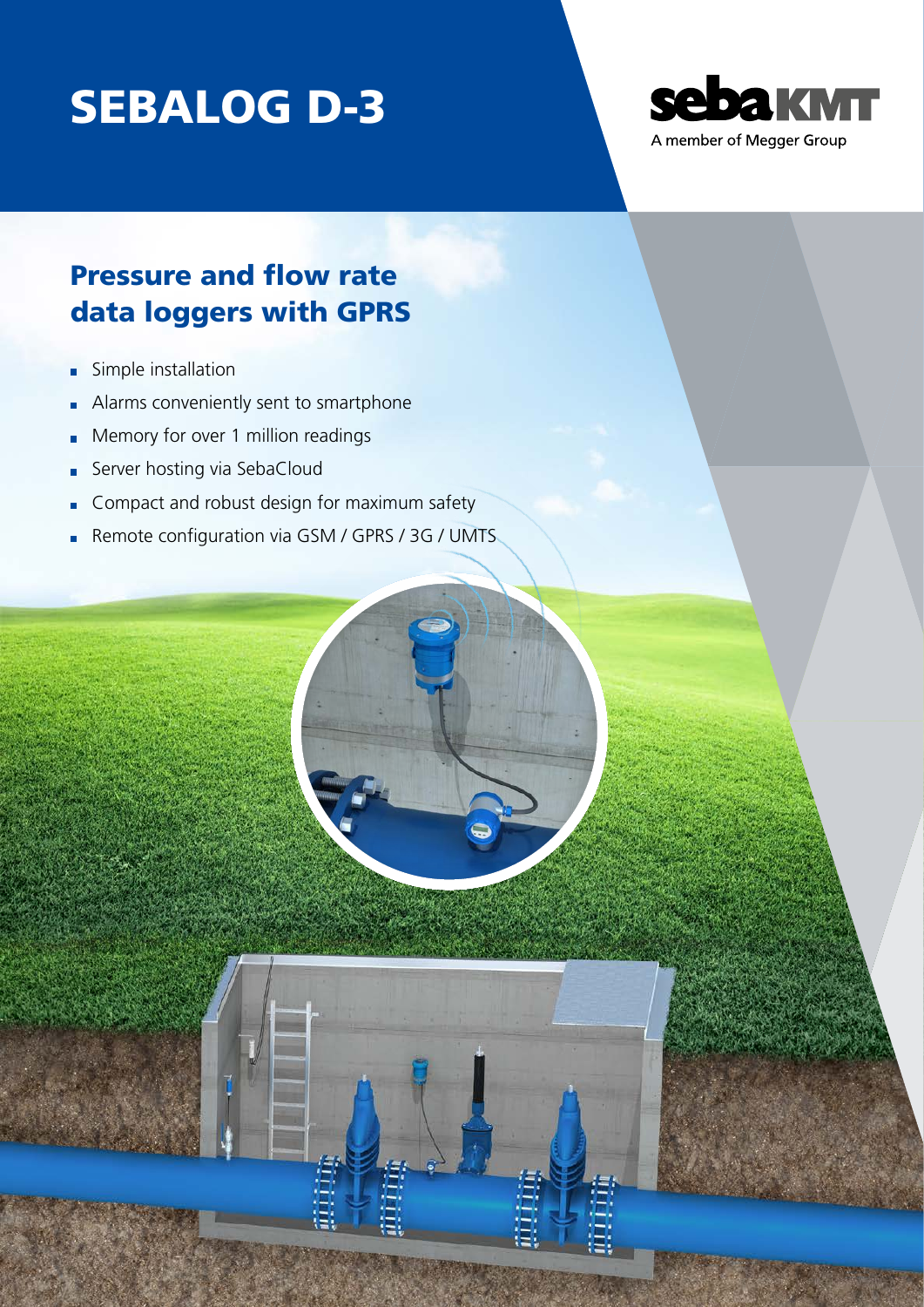# SEBALOG D-3



### Pressure and flow rate data loggers with GPRS

- Simple installation  $\blacksquare$
- Alarms conveniently sent to smartphone
- Memory for over 1 million readings É
- Server hosting via SebaCloud É
- Compact and robust design for maximum safety
- Remote configuration via GSM / GPRS / 3G / UMTS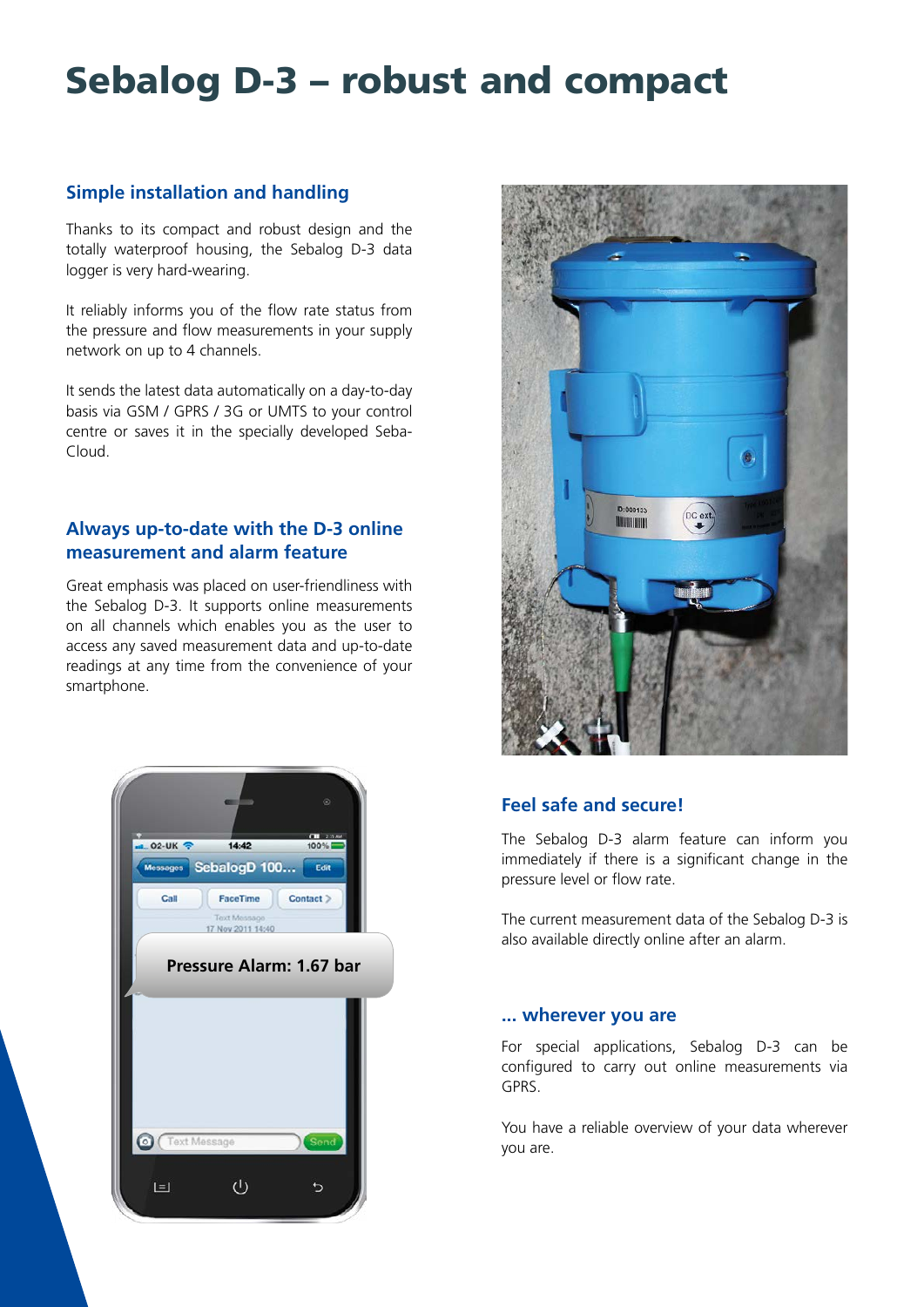## Sebalog D-3 – robust and compact

#### **Simple installation and handling**

Thanks to its compact and robust design and the totally waterproof housing, the Sebalog D-3 data logger is very hard-wearing.

It reliably informs you of the flow rate status from the pressure and flow measurements in your supply network on up to 4 channels.

It sends the latest data automatically on a day-to-day basis via GSM / GPRS / 3G or UMTS to your control centre or saves it in the specially developed Seba-Cloud.

#### **Always up-to-date with the D-3 online measurement and alarm feature**

Great emphasis was placed on user-friendliness with the Sebalog D-3. It supports online measurements on all channels which enables you as the user to access any saved measurement data and up-to-date readings at any time from the convenience of your smartphone.





#### **Feel safe and secure!**

The Sebalog D-3 alarm feature can inform you immediately if there is a significant change in the pressure level or flow rate.

The current measurement data of the Sebalog D-3 is also available directly online after an alarm.

#### **... wherever you are**

For special applications, Sebalog D-3 can be configured to carry out online measurements via GPRS.

You have a reliable overview of your data wherever you are.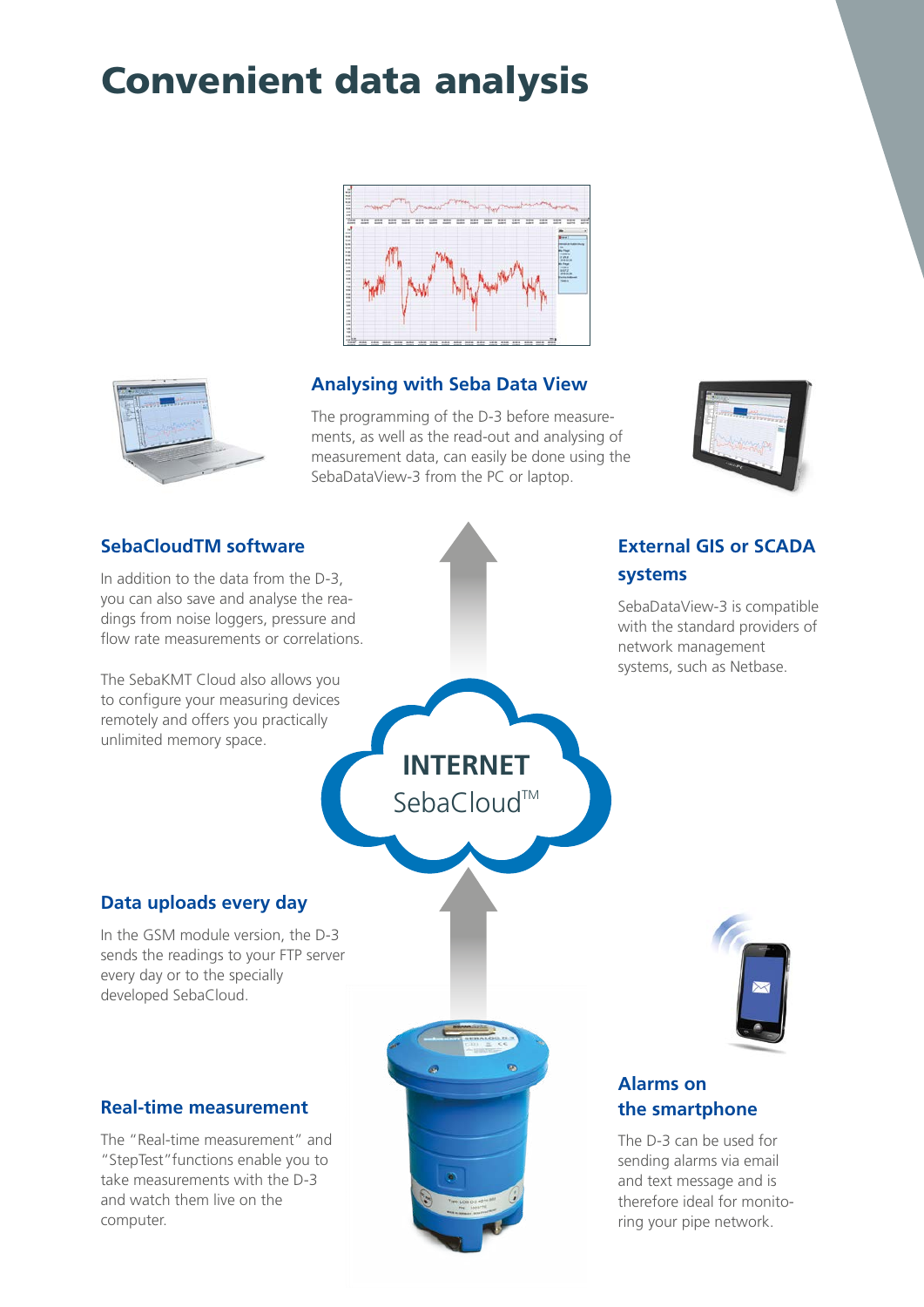### Convenient data analysis



#### **Analysing with Seba Data View**

The programming of the D-3 before measurements, as well as the read-out and analysing of measurement data, can easily be done using the SebaDataView-3 from the PC or laptop.

**INTERNET**

SebaCloud™



#### **SebaCloudTM software**

In addition to the data from the D-3, you can also save and analyse the readings from noise loggers, pressure and flow rate measurements or correlations.

The SebaKMT Cloud also allows you to configure your measuring devices remotely and offers you practically unlimited memory space.

#### **External GIS or SCADA systems**

SebaDataView-3 is compatible with the standard providers of network management systems, such as Netbase.

#### **Data uploads every day**

In the GSM module version, the D-3 sends the readings to your FTP server every day or to the specially developed SebaCloud.

#### **Real-time measurement**

The "Real-time measurement" and "StepTest"functions enable you to take measurements with the D-3 and watch them live on the computer.





#### **Alarms on the smartphone**

The D-3 can be used for sending alarms via email and text message and is therefore ideal for monitoring your pipe network.